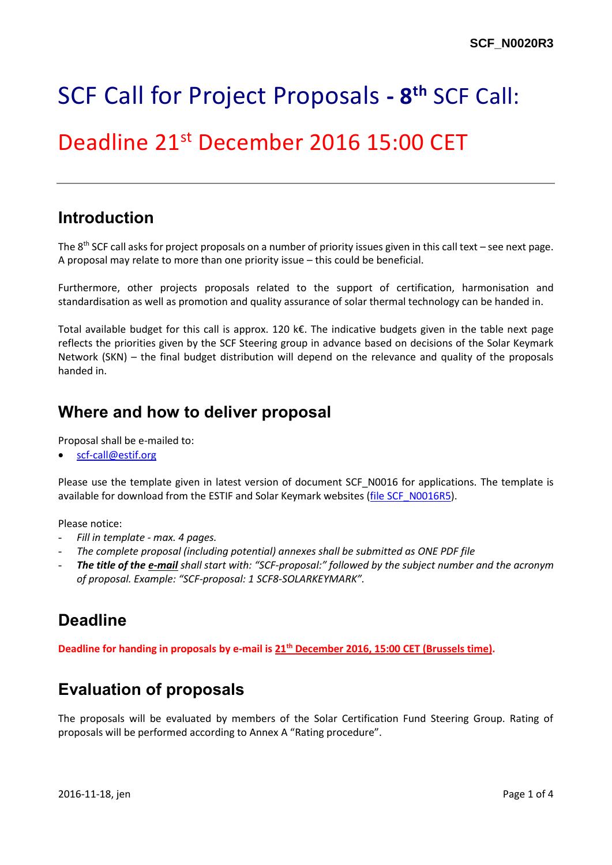# SCF Call for Project Proposals **- 8 th** SCF Call:

## Deadline 21<sup>st</sup> December 2016 15:00 CET

#### **Introduction**

The 8<sup>th</sup> SCF call asks for project proposals on a number of priority issues given in this call text – see next page. A proposal may relate to more than one priority issue – this could be beneficial.

Furthermore, other projects proposals related to the support of certification, harmonisation and standardisation as well as promotion and quality assurance of solar thermal technology can be handed in.

Total available budget for this call is approx. 120 k€. The indicative budgets given in the table next page reflects the priorities given by the SCF Steering group in advance based on decisions of the Solar Keymark Network (SKN) – the final budget distribution will depend on the relevance and quality of the proposals handed in.

#### **Where and how to deliver proposal**

Proposal shall be e-mailed to:

[scf-call@estif.org](mailto:scf-call@estif.org)

Please use the template given in latest version of document SCF\_N0016 for applications. The template is available for download from the ESTIF and Solar Keymark websites [\(file SCF\\_N0016R5\)](http://www.estif.org/solarkeymarknew/images/downloads/SCF/8thSCFcall/SCF_N0016R5.docx).

Please notice:

- *Fill in template - max. 4 pages.*
- *The complete proposal (including potential) annexes shall be submitted as ONE PDF file*
- *The title of the e-mail shall start with: "SCF-proposal:" followed by the subject number and the acronym of proposal. Example: "SCF-proposal: 1 SCF8-SOLARKEYMARK".*

### **Deadline**

**Deadline for handing in proposals by e-mail is 21 th December 2016, 15:00 CET (Brussels time).**

### **Evaluation of proposals**

The proposals will be evaluated by members of the Solar Certification Fund Steering Group. Rating of proposals will be performed according to Annex A "Rating procedure".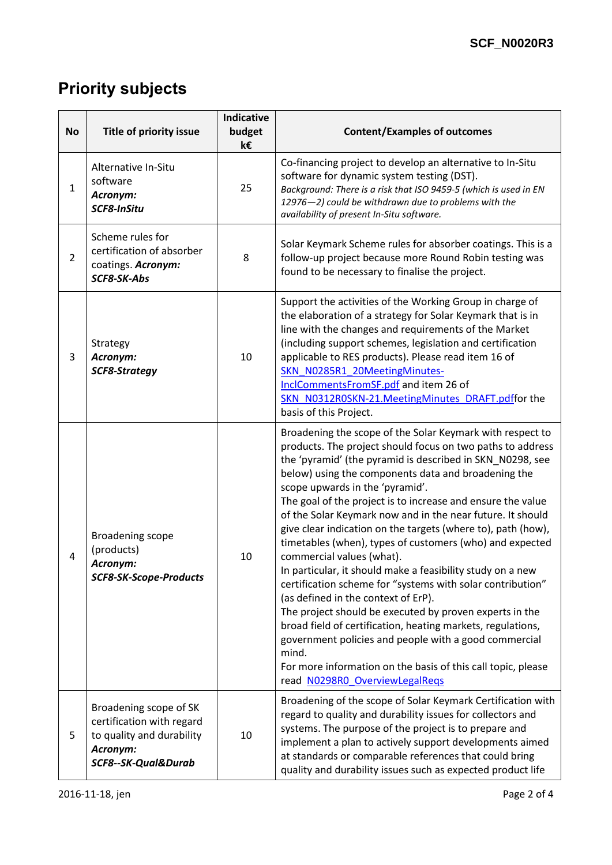### **Priority subjects**

| <b>No</b>      | Title of priority issue                                                                                             | <b>Indicative</b><br>budget<br>k€ | <b>Content/Examples of outcomes</b>                                                                                                                                                                                                                                                                                                                                                                                                                                                                                                                                                                                                                                                                                                                                                                                                                                                                                                                                                                                                   |  |  |
|----------------|---------------------------------------------------------------------------------------------------------------------|-----------------------------------|---------------------------------------------------------------------------------------------------------------------------------------------------------------------------------------------------------------------------------------------------------------------------------------------------------------------------------------------------------------------------------------------------------------------------------------------------------------------------------------------------------------------------------------------------------------------------------------------------------------------------------------------------------------------------------------------------------------------------------------------------------------------------------------------------------------------------------------------------------------------------------------------------------------------------------------------------------------------------------------------------------------------------------------|--|--|
| $\mathbf{1}$   | Alternative In-Situ<br>software<br>Acronym:<br>SCF8-InSitu                                                          | 25                                | Co-financing project to develop an alternative to In-Situ<br>software for dynamic system testing (DST).<br>Background: There is a risk that ISO 9459-5 (which is used in EN<br>12976-2) could be withdrawn due to problems with the<br>availability of present In-Situ software.                                                                                                                                                                                                                                                                                                                                                                                                                                                                                                                                                                                                                                                                                                                                                      |  |  |
| $\overline{2}$ | Scheme rules for<br>certification of absorber<br>coatings. Acronym:<br>SCF8-SK-Abs                                  | 8                                 | Solar Keymark Scheme rules for absorber coatings. This is a<br>follow-up project because more Round Robin testing was<br>found to be necessary to finalise the project.                                                                                                                                                                                                                                                                                                                                                                                                                                                                                                                                                                                                                                                                                                                                                                                                                                                               |  |  |
| 3              | Strategy<br>Acronym:<br><b>SCF8-Strategy</b>                                                                        | 10                                | Support the activities of the Working Group in charge of<br>the elaboration of a strategy for Solar Keymark that is in<br>line with the changes and requirements of the Market<br>(including support schemes, legislation and certification<br>applicable to RES products). Please read item 16 of<br>SKN_N0285R1_20MeetingMinutes-<br>InclCommentsFromSF.pdf and item 26 of<br>SKN N0312R0SKN-21.MeetingMinutes DRAFT.pdffor the<br>basis of this Project.                                                                                                                                                                                                                                                                                                                                                                                                                                                                                                                                                                           |  |  |
| 4              | <b>Broadening scope</b><br>(products)<br>Acronym:<br><b>SCF8-SK-Scope-Products</b>                                  | 10                                | Broadening the scope of the Solar Keymark with respect to<br>products. The project should focus on two paths to address<br>the 'pyramid' (the pyramid is described in SKN_N0298, see<br>below) using the components data and broadening the<br>scope upwards in the 'pyramid'.<br>The goal of the project is to increase and ensure the value<br>of the Solar Keymark now and in the near future. It should<br>give clear indication on the targets (where to), path (how),<br>timetables (when), types of customers (who) and expected<br>commercial values (what).<br>In particular, it should make a feasibility study on a new<br>certification scheme for "systems with solar contribution"<br>(as defined in the context of ErP).<br>The project should be executed by proven experts in the<br>broad field of certification, heating markets, regulations,<br>government policies and people with a good commercial<br>mind.<br>For more information on the basis of this call topic, please<br>read N0298R0 OverviewLegalReqs |  |  |
| 5              | Broadening scope of SK<br>certification with regard<br>to quality and durability<br>Acronym:<br>SCF8--SK-Qual&Durab | 10                                | Broadening of the scope of Solar Keymark Certification with<br>regard to quality and durability issues for collectors and<br>systems. The purpose of the project is to prepare and<br>implement a plan to actively support developments aimed<br>at standards or comparable references that could bring<br>quality and durability issues such as expected product life                                                                                                                                                                                                                                                                                                                                                                                                                                                                                                                                                                                                                                                                |  |  |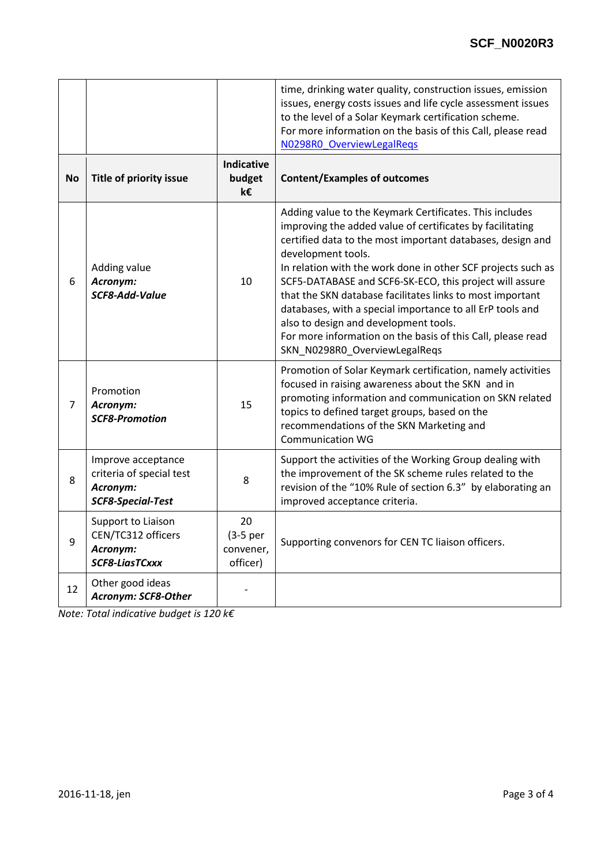|           |                                                                                        |                                           | time, drinking water quality, construction issues, emission<br>issues, energy costs issues and life cycle assessment issues<br>to the level of a Solar Keymark certification scheme.<br>For more information on the basis of this Call, please read<br>N0298R0 OverviewLegalRegs                                                                                                                                                                                                                                                                                                                       |  |
|-----------|----------------------------------------------------------------------------------------|-------------------------------------------|--------------------------------------------------------------------------------------------------------------------------------------------------------------------------------------------------------------------------------------------------------------------------------------------------------------------------------------------------------------------------------------------------------------------------------------------------------------------------------------------------------------------------------------------------------------------------------------------------------|--|
| <b>No</b> | Title of priority issue                                                                | <b>Indicative</b><br>budget<br>k€         | <b>Content/Examples of outcomes</b>                                                                                                                                                                                                                                                                                                                                                                                                                                                                                                                                                                    |  |
| 6         | Adding value<br>Acronym:<br>SCF8-Add-Value                                             | 10                                        | Adding value to the Keymark Certificates. This includes<br>improving the added value of certificates by facilitating<br>certified data to the most important databases, design and<br>development tools.<br>In relation with the work done in other SCF projects such as<br>SCF5-DATABASE and SCF6-SK-ECO, this project will assure<br>that the SKN database facilitates links to most important<br>databases, with a special importance to all ErP tools and<br>also to design and development tools.<br>For more information on the basis of this Call, please read<br>SKN_N0298R0_OverviewLegalReqs |  |
| 7         | Promotion<br>Acronym:<br><b>SCF8-Promotion</b>                                         | 15                                        | Promotion of Solar Keymark certification, namely activities<br>focused in raising awareness about the SKN and in<br>promoting information and communication on SKN related<br>topics to defined target groups, based on the<br>recommendations of the SKN Marketing and<br><b>Communication WG</b>                                                                                                                                                                                                                                                                                                     |  |
| 8         | Improve acceptance<br>criteria of special test<br>Acronym:<br><b>SCF8-Special-Test</b> | 8                                         | Support the activities of the Working Group dealing with<br>the improvement of the SK scheme rules related to the<br>revision of the "10% Rule of section 6.3" by elaborating an<br>improved acceptance criteria.                                                                                                                                                                                                                                                                                                                                                                                      |  |
| 9         | Support to Liaison<br>CEN/TC312 officers<br>Acronym:<br><b>SCF8-LiasTCxxx</b>          | 20<br>$(3-5per)$<br>convener,<br>officer) | Supporting convenors for CEN TC liaison officers.                                                                                                                                                                                                                                                                                                                                                                                                                                                                                                                                                      |  |
| 12        | Other good ideas<br>Acronym: SCF8-Other                                                |                                           |                                                                                                                                                                                                                                                                                                                                                                                                                                                                                                                                                                                                        |  |

*Note: Total indicative budget is 120 k€*